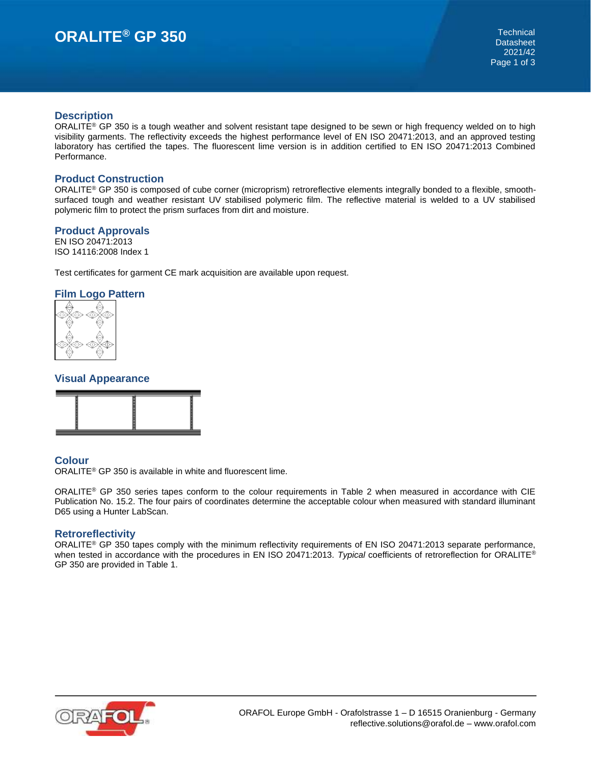# **ORALITE® GP 350** Technical

#### **Description**

ORALITE<sup>®</sup> GP 350 is a tough weather and solvent resistant tape designed to be sewn or high frequency welded on to high visibility garments. The reflectivity exceeds the highest performance level of EN ISO 20471:2013, and an approved testing laboratory has certified the tapes. The fluorescent lime version is in addition certified to EN ISO 20471:2013 Combined Performance.

#### **Product Construction**

ORALITE® GP 350 is composed of cube corner (microprism) retroreflective elements integrally bonded to a flexible, smoothsurfaced tough and weather resistant UV stabilised polymeric film. The reflective material is welded to a UV stabilised polymeric film to protect the prism surfaces from dirt and moisture.

#### **Product Approvals**

EN ISO 20471:2013 ISO 14116:2008 Index 1

Test certificates for garment CE mark acquisition are available upon request.

#### **Film Logo Pattern**



### **Visual Appearance**



# **Colour**

ORALITE® GP 350 is available in white and fluorescent lime.

ORALITE® GP 350 series tapes conform to the colour requirements in Table 2 when measured in accordance with CIE Publication No. 15.2. The four pairs of coordinates determine the acceptable colour when measured with standard illuminant D65 using a Hunter LabScan.

#### **Retroreflectivity**

ORALITE® GP 350 tapes comply with the minimum reflectivity requirements of EN ISO 20471:2013 separate performance, when tested in accordance with the procedures in EN ISO 20471:2013. *Typical* coefficients of retroreflection for ORALITE® GP 350 are provided in Table 1.

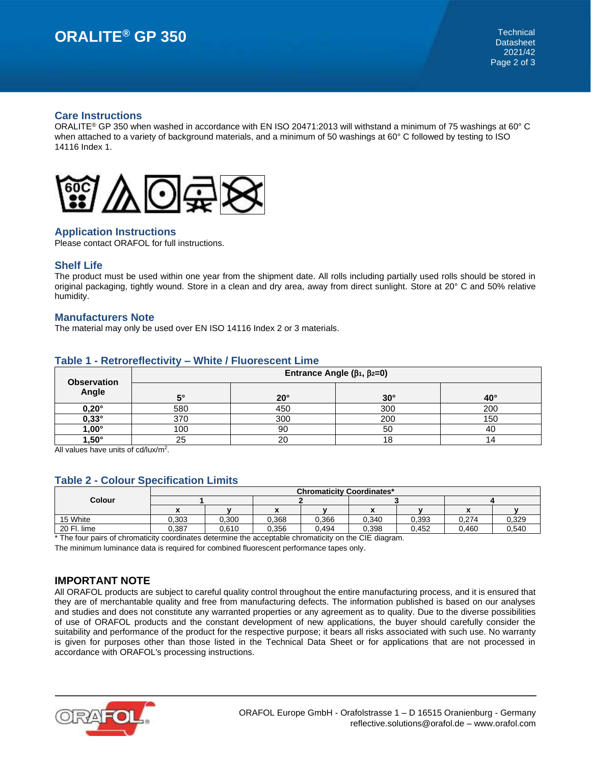#### **Care Instructions**

ORALITE<sup>®</sup> GP 350 when washed in accordance with EN ISO 20471:2013 will withstand a minimum of 75 washings at 60° C when attached to a variety of background materials, and a minimum of 50 washings at 60° C followed by testing to ISO 14116 Index 1.



# **Application Instructions**

Please contact ORAFOL for full instructions.

# **Shelf Life**

The product must be used within one year from the shipment date. All rolls including partially used rolls should be stored in original packaging, tightly wound. Store in a clean and dry area, away from direct sunlight. Store at 20° C and 50% relative humidity.

#### **Manufacturers Note**

The material may only be used over EN ISO 14116 Index 2 or 3 materials.

| <b>Observation</b> | Entrance Angle $(\beta_1, \beta_2=0)$ |              |            |              |
|--------------------|---------------------------------------|--------------|------------|--------------|
| Angle              | r.                                    | $20^{\circ}$ | $30^\circ$ | $40^{\circ}$ |
| $0,20^\circ$       | 580                                   | 450          | 300        | 200          |
| $0,33^\circ$       | 370                                   | 300          | 200        | 150          |
| $1,00^{\circ}$     | 00 ا                                  | 90           | 50         | 40           |
| $1,50^\circ$       | 25                                    | 20           | 18         |              |

# **Table 1 - Retroreflectivity – White / Fluorescent Lime**

All values have units of cd/lux/m<sup>2</sup>.

# **Table 2 - Colour Specification Limits**

| 0,393 | 0,274 | 0,329 |
|-------|-------|-------|
| 0.452 | 0.460 | 0,540 |
|       |       |       |

\* The four pairs of chromaticity coordinates determine the acceptable chromaticity on the CIE diagram.

The minimum luminance data is required for combined fluorescent performance tapes only.

# **IMPORTANT NOTE**

All ORAFOL products are subject to careful quality control throughout the entire manufacturing process, and it is ensured that they are of merchantable quality and free from manufacturing defects. The information published is based on our analyses and studies and does not constitute any warranted properties or any agreement as to quality. Due to the diverse possibilities of use of ORAFOL products and the constant development of new applications, the buyer should carefully consider the suitability and performance of the product for the respective purpose; it bears all risks associated with such use. No warranty is given for purposes other than those listed in the Technical Data Sheet or for applications that are not processed in accordance with ORAFOL's processing instructions.